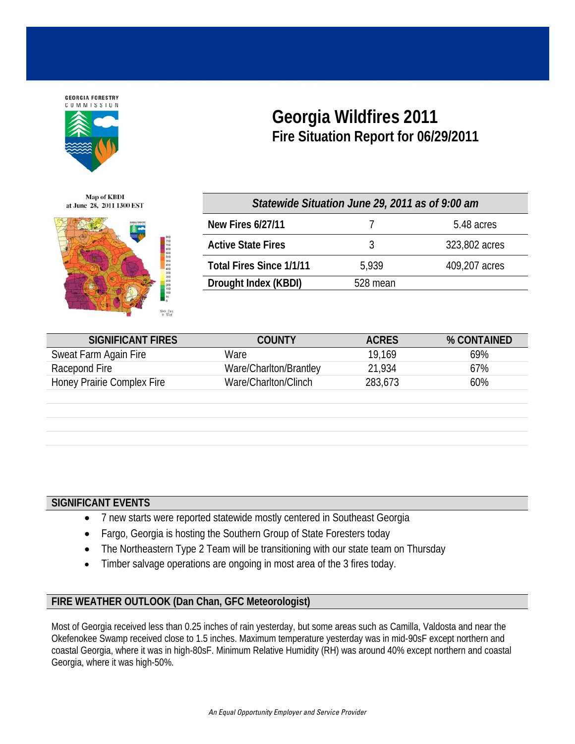

**Georgia Wildfires 2011 Fire Situation Report for 06/29/2011** 

**Map of KBDI** at June 28, 2011 1300 EST



| Statewide Situation June 29, 2011 as of 9:00 am |          |               |  |  |  |  |
|-------------------------------------------------|----------|---------------|--|--|--|--|
| <b>New Fires 6/27/11</b>                        |          | 5.48 acres    |  |  |  |  |
| <b>Active State Fires</b>                       | 3        | 323,802 acres |  |  |  |  |
| <b>Total Fires Since 1/1/11</b>                 | 5,939    | 409,207 acres |  |  |  |  |
| Drought Index (KBDI)                            | 528 mean |               |  |  |  |  |

| <b>SIGNIFICANT FIRES</b>   | COUNTY                 | <b>ACRES</b> | % CONTAINED |
|----------------------------|------------------------|--------------|-------------|
| Sweat Farm Again Fire      | Ware                   | 19.169       | 69%         |
| Racepond Fire              | Ware/Charlton/Brantley | 21,934       | 67%         |
| Honey Prairie Complex Fire | Ware/Charlton/Clinch   | 283,673      | 60%         |

## **SIGNIFICANT EVENTS**

- 7 new starts were reported statewide mostly centered in Southeast Georgia
- Fargo, Georgia is hosting the Southern Group of State Foresters today
- The Northeastern Type 2 Team will be transitioning with our state team on Thursday
- Timber salvage operations are ongoing in most area of the 3 fires today.

## **FIRE WEATHER OUTLOOK (Dan Chan, GFC Meteorologist)**

Most of Georgia received less than 0.25 inches of rain yesterday, but some areas such as Camilla, Valdosta and near the Okefenokee Swamp received close to 1.5 inches. Maximum temperature yesterday was in mid-90sF except northern and coastal Georgia, where it was in high-80sF. Minimum Relative Humidity (RH) was around 40% except northern and coastal Georgia, where it was high-50%.